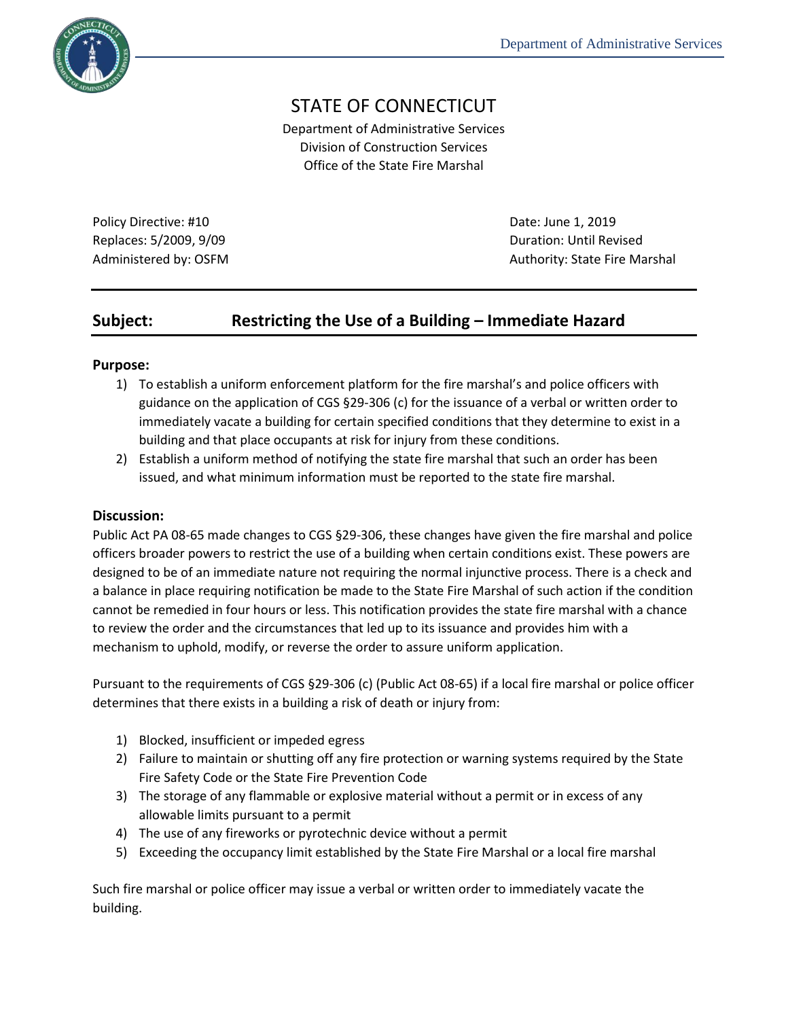

# STATE OF CONNECTICUT

Department of Administrative Services Division of Construction Services Office of the State Fire Marshal

Policy Directive: #10 Date: June 1, 2019 Replaces: 5/2009, 9/09 **Duration: Until Revised** 

Administered by: OSFM Authority: State Fire Marshal

## **Subject: Restricting the Use of a Building – Immediate Hazard**

#### **Purpose:**

- 1) To establish a uniform enforcement platform for the fire marshal's and police officers with guidance on the application of CGS §29-306 (c) for the issuance of a verbal or written order to immediately vacate a building for certain specified conditions that they determine to exist in a building and that place occupants at risk for injury from these conditions.
- 2) Establish a uniform method of notifying the state fire marshal that such an order has been issued, and what minimum information must be reported to the state fire marshal.

### **Discussion:**

Public Act PA 08-65 made changes to CGS §29-306, these changes have given the fire marshal and police officers broader powers to restrict the use of a building when certain conditions exist. These powers are designed to be of an immediate nature not requiring the normal injunctive process. There is a check and a balance in place requiring notification be made to the State Fire Marshal of such action if the condition cannot be remedied in four hours or less. This notification provides the state fire marshal with a chance to review the order and the circumstances that led up to its issuance and provides him with a mechanism to uphold, modify, or reverse the order to assure uniform application.

Pursuant to the requirements of CGS §29-306 (c) (Public Act 08-65) if a local fire marshal or police officer determines that there exists in a building a risk of death or injury from:

- 1) Blocked, insufficient or impeded egress
- 2) Failure to maintain or shutting off any fire protection or warning systems required by the State Fire Safety Code or the State Fire Prevention Code
- 3) The storage of any flammable or explosive material without a permit or in excess of any allowable limits pursuant to a permit
- 4) The use of any fireworks or pyrotechnic device without a permit
- 5) Exceeding the occupancy limit established by the State Fire Marshal or a local fire marshal

Such fire marshal or police officer may issue a verbal or written order to immediately vacate the building.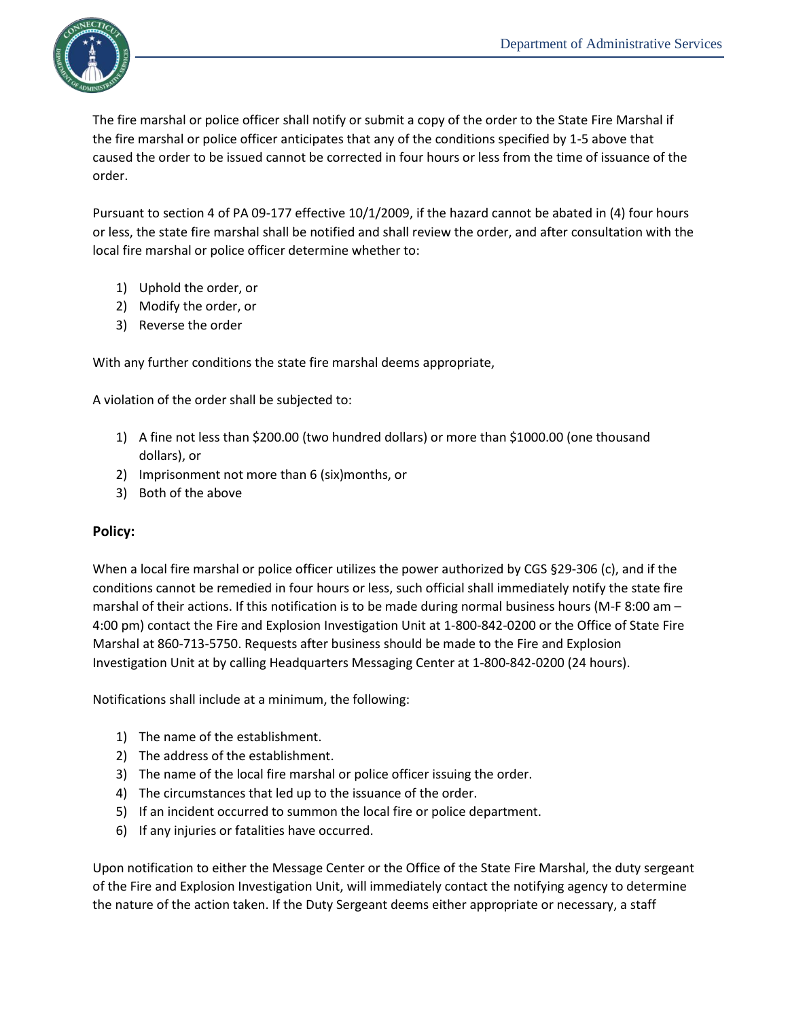

The fire marshal or police officer shall notify or submit a copy of the order to the State Fire Marshal if the fire marshal or police officer anticipates that any of the conditions specified by 1-5 above that caused the order to be issued cannot be corrected in four hours or less from the time of issuance of the order.

Pursuant to section 4 of PA 09-177 effective 10/1/2009, if the hazard cannot be abated in (4) four hours or less, the state fire marshal shall be notified and shall review the order, and after consultation with the local fire marshal or police officer determine whether to:

- 1) Uphold the order, or
- 2) Modify the order, or
- 3) Reverse the order

With any further conditions the state fire marshal deems appropriate,

A violation of the order shall be subjected to:

- 1) A fine not less than \$200.00 (two hundred dollars) or more than \$1000.00 (one thousand dollars), or
- 2) Imprisonment not more than 6 (six)months, or
- 3) Both of the above

#### **Policy:**

When a local fire marshal or police officer utilizes the power authorized by CGS §29-306 (c), and if the conditions cannot be remedied in four hours or less, such official shall immediately notify the state fire marshal of their actions. If this notification is to be made during normal business hours (M-F 8:00 am – 4:00 pm) contact the Fire and Explosion Investigation Unit at 1-800-842-0200 or the Office of State Fire Marshal at 860-713-5750. Requests after business should be made to the Fire and Explosion Investigation Unit at by calling Headquarters Messaging Center at 1-800-842-0200 (24 hours).

Notifications shall include at a minimum, the following:

- 1) The name of the establishment.
- 2) The address of the establishment.
- 3) The name of the local fire marshal or police officer issuing the order.
- 4) The circumstances that led up to the issuance of the order.
- 5) If an incident occurred to summon the local fire or police department.
- 6) If any injuries or fatalities have occurred.

Upon notification to either the Message Center or the Office of the State Fire Marshal, the duty sergeant of the Fire and Explosion Investigation Unit, will immediately contact the notifying agency to determine the nature of the action taken. If the Duty Sergeant deems either appropriate or necessary, a staff